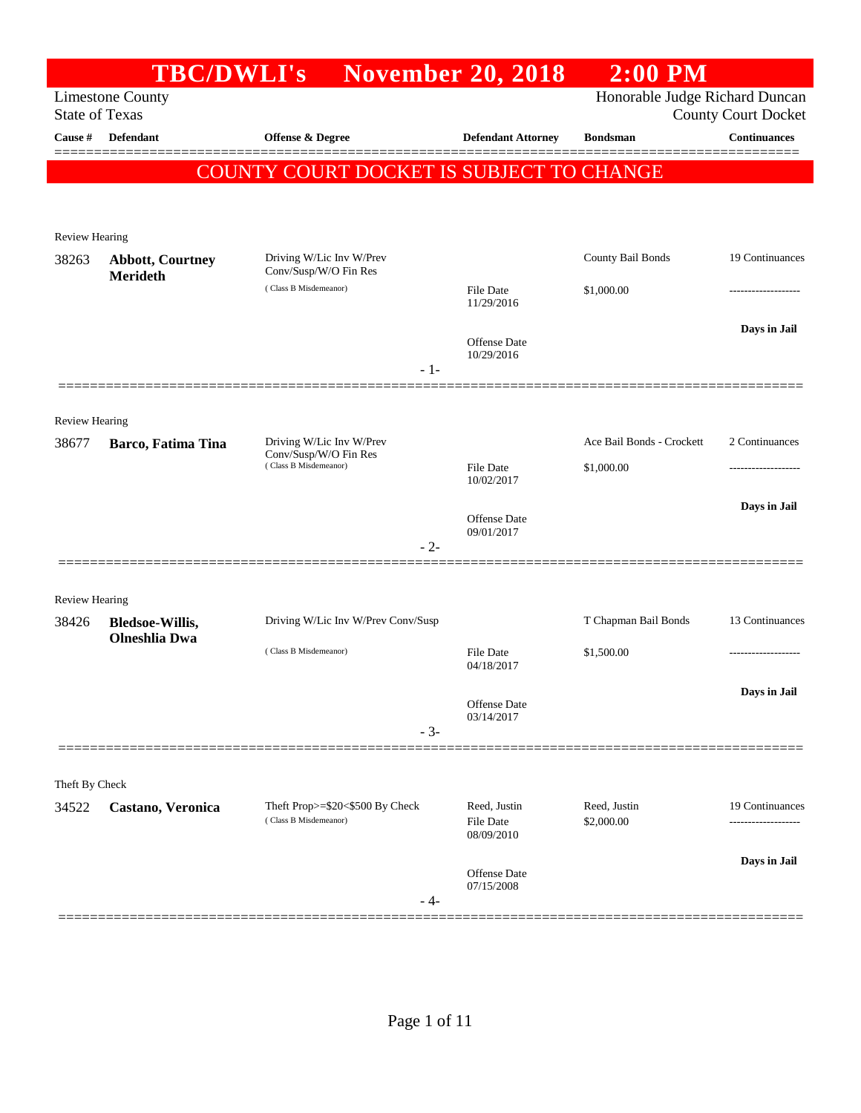|                       |                                                | <b>TBC/DWLI's</b> November 20, 2018               |                            | $2:00$ PM                      |                                 |
|-----------------------|------------------------------------------------|---------------------------------------------------|----------------------------|--------------------------------|---------------------------------|
|                       | <b>Limestone County</b>                        |                                                   |                            | Honorable Judge Richard Duncan |                                 |
| <b>State of Texas</b> |                                                |                                                   |                            |                                | <b>County Court Docket</b>      |
| Cause #               | Defendant                                      | Offense & Degree                                  | <b>Defendant Attorney</b>  | <b>Bondsman</b>                | <b>Continuances</b><br>======== |
|                       |                                                | COUNTY COURT DOCKET IS SUBJECT TO CHANGE          |                            |                                |                                 |
|                       |                                                |                                                   |                            |                                |                                 |
|                       |                                                |                                                   |                            |                                |                                 |
| Review Hearing        |                                                |                                                   |                            |                                |                                 |
| 38263                 | <b>Abbott, Courtney</b><br><b>Merideth</b>     | Driving W/Lic Inv W/Prev<br>Conv/Susp/W/O Fin Res |                            | County Bail Bonds              | 19 Continuances                 |
|                       |                                                | (Class B Misdemeanor)                             | File Date                  | \$1,000.00                     |                                 |
|                       |                                                |                                                   | 11/29/2016                 |                                |                                 |
|                       |                                                |                                                   | Offense Date               |                                | Days in Jail                    |
|                       |                                                | $-1-$                                             | 10/29/2016                 |                                |                                 |
|                       |                                                |                                                   |                            |                                |                                 |
| <b>Review Hearing</b> |                                                |                                                   |                            |                                |                                 |
| 38677                 | Barco, Fatima Tina                             | Driving W/Lic Inv W/Prev                          |                            | Ace Bail Bonds - Crockett      | 2 Continuances                  |
|                       |                                                | Conv/Susp/W/O Fin Res<br>(Class B Misdemeanor)    | File Date                  | \$1,000.00                     |                                 |
|                       |                                                |                                                   | 10/02/2017                 |                                |                                 |
|                       |                                                |                                                   |                            |                                | Days in Jail                    |
|                       |                                                |                                                   | Offense Date<br>09/01/2017 |                                |                                 |
|                       |                                                | $-2-$                                             |                            |                                |                                 |
|                       |                                                |                                                   |                            |                                |                                 |
| <b>Review Hearing</b> |                                                |                                                   |                            |                                |                                 |
| 38426                 | <b>Bledsoe-Willis,</b><br><b>Olneshlia Dwa</b> | Driving W/Lic Inv W/Prev Conv/Susp                |                            | T Chapman Bail Bonds           | 13 Continuances                 |
|                       |                                                | (Class B Misdemeanor)                             | File Date                  | \$1,500.00                     |                                 |
|                       |                                                |                                                   | 04/18/2017                 |                                |                                 |
|                       |                                                |                                                   | Offense Date               |                                | Days in Jail                    |
|                       |                                                | $-3-$                                             | 03/14/2017                 |                                |                                 |
|                       |                                                |                                                   |                            |                                |                                 |
| Theft By Check        |                                                |                                                   |                            |                                |                                 |
| 34522                 | Castano, Veronica                              | Theft Prop>=\$20<\$500 By Check                   | Reed, Justin               | Reed, Justin                   | 19 Continuances                 |
|                       |                                                | (Class B Misdemeanor)                             | <b>File Date</b>           | \$2,000.00                     |                                 |
|                       |                                                |                                                   | 08/09/2010                 |                                |                                 |
|                       |                                                |                                                   | Offense Date               |                                | Days in Jail                    |
|                       |                                                | - 4-                                              | 07/15/2008                 |                                |                                 |
|                       |                                                |                                                   |                            |                                |                                 |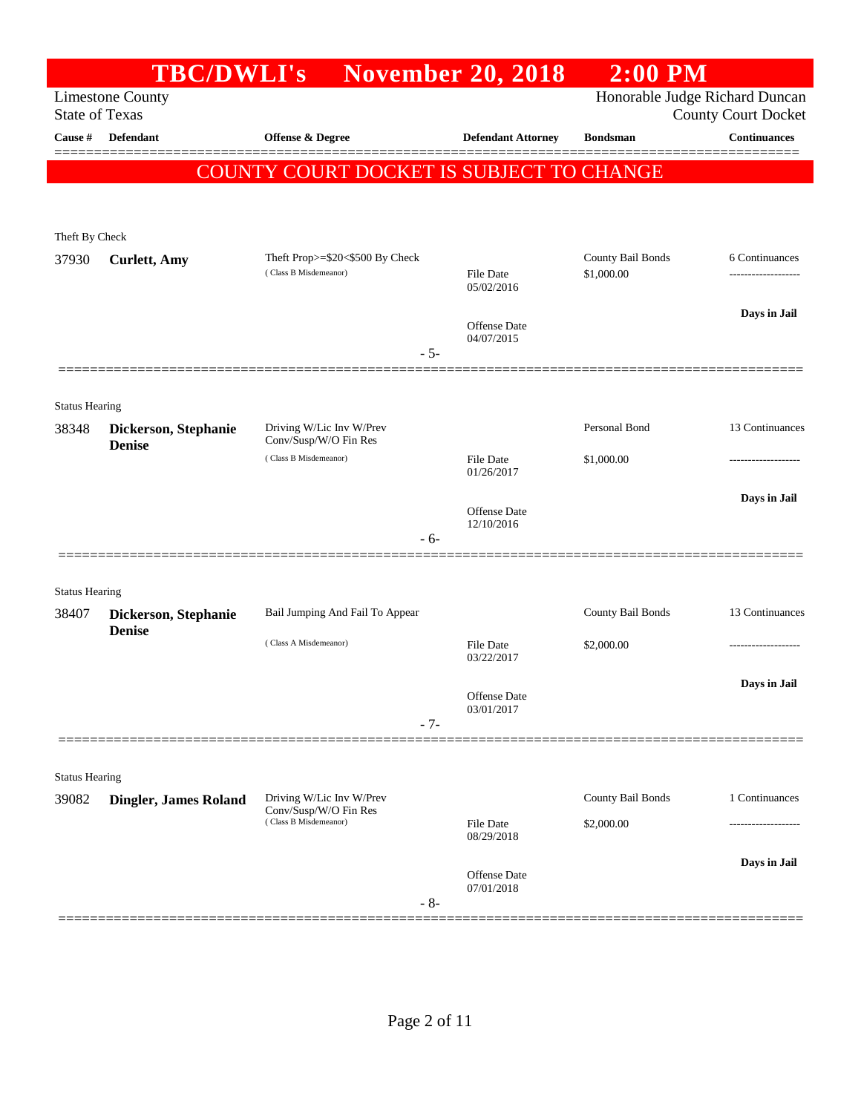|                       | <b>TBC/DWLI's</b>                     |                                                          | <b>November 20, 2018</b>          | $2:00$ PM                       |                            |
|-----------------------|---------------------------------------|----------------------------------------------------------|-----------------------------------|---------------------------------|----------------------------|
| <b>State of Texas</b> | <b>Limestone County</b>               |                                                          |                                   | Honorable Judge Richard Duncan  | <b>County Court Docket</b> |
| Cause #               | <b>Defendant</b>                      | Offense & Degree                                         | <b>Defendant Attorney</b>         | <b>Bondsman</b>                 | <b>Continuances</b>        |
|                       |                                       | COUNTY COURT DOCKET IS SUBJECT TO CHANGE                 |                                   |                                 |                            |
| Theft By Check        |                                       |                                                          |                                   |                                 |                            |
| 37930                 | <b>Curlett</b> , Amy                  | Theft Prop>=\$20<\$500 By Check<br>(Class B Misdemeanor) | <b>File Date</b><br>05/02/2016    | County Bail Bonds<br>\$1,000.00 | 6 Continuances             |
|                       |                                       | $-5-$                                                    | <b>Offense Date</b><br>04/07/2015 |                                 | Days in Jail               |
| <b>Status Hearing</b> |                                       |                                                          |                                   |                                 |                            |
| 38348                 | Dickerson, Stephanie<br><b>Denise</b> | Driving W/Lic Inv W/Prev<br>Conv/Susp/W/O Fin Res        |                                   | Personal Bond                   | 13 Continuances            |
|                       |                                       | (Class B Misdemeanor)                                    | <b>File Date</b><br>01/26/2017    | \$1,000.00                      |                            |
|                       |                                       | - 6-                                                     | <b>Offense Date</b><br>12/10/2016 |                                 | Days in Jail               |
| <b>Status Hearing</b> |                                       |                                                          |                                   |                                 |                            |
| 38407                 | Dickerson, Stephanie<br><b>Denise</b> | Bail Jumping And Fail To Appear                          |                                   | County Bail Bonds               | 13 Continuances            |
|                       |                                       | (Class A Misdemeanor)                                    | <b>File Date</b><br>03/22/2017    | \$2,000.00                      |                            |
|                       |                                       | $-7-$                                                    | Offense Date<br>03/01/2017        |                                 | Days in Jail               |
| <b>Status Hearing</b> |                                       |                                                          |                                   |                                 |                            |
| 39082                 | Dingler, James Roland                 | Driving W/Lic Inv W/Prev                                 |                                   | County Bail Bonds               | 1 Continuances             |
|                       |                                       | Conv/Susp/W/O Fin Res<br>(Class B Misdemeanor)           | <b>File Date</b><br>08/29/2018    | \$2,000.00                      |                            |
|                       |                                       | $-8-$                                                    | Offense Date<br>07/01/2018        |                                 | Days in Jail               |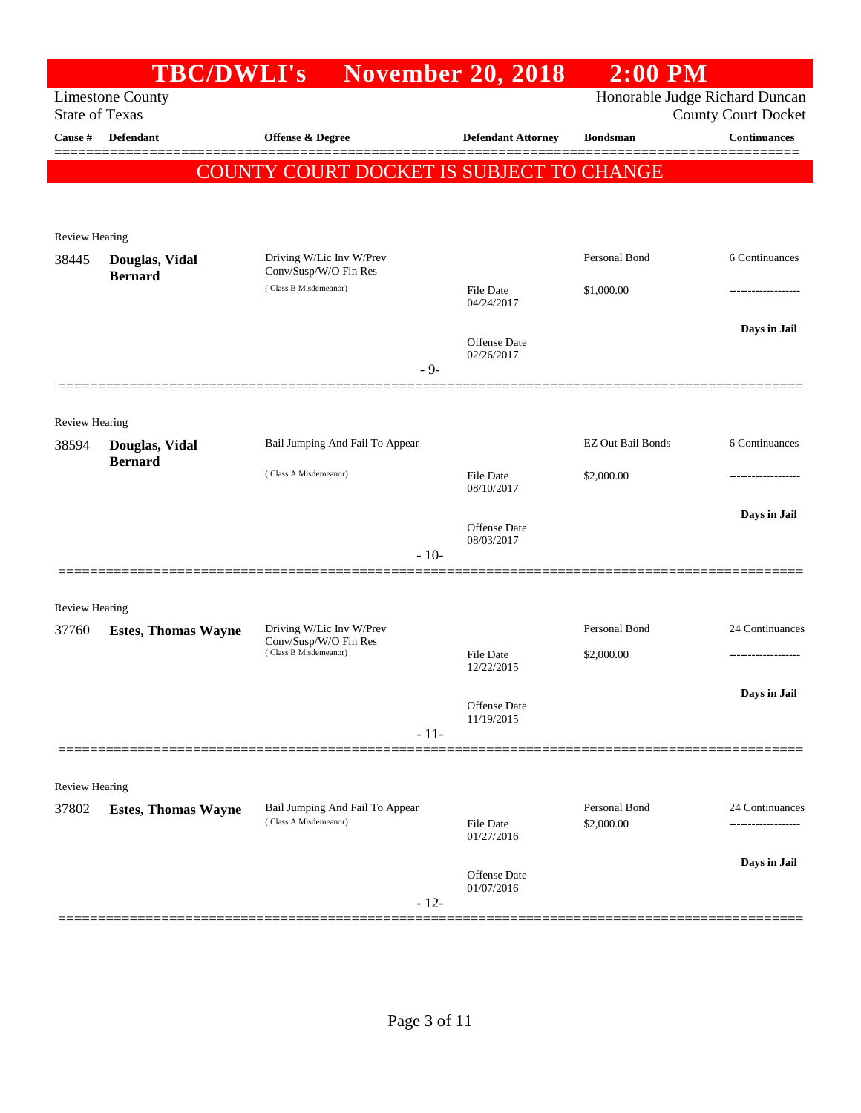|                                  | <b>TBC/DWLI's</b>                |                                                   | <b>November 20, 2018</b>       | $2:00$ PM                |                                                   |
|----------------------------------|----------------------------------|---------------------------------------------------|--------------------------------|--------------------------|---------------------------------------------------|
|                                  | <b>Limestone County</b>          |                                                   |                                |                          | Honorable Judge Richard Duncan                    |
| <b>State of Texas</b><br>Cause # | Defendant                        | Offense & Degree                                  | <b>Defendant Attorney</b>      | <b>Bondsman</b>          | <b>County Court Docket</b><br><b>Continuances</b> |
|                                  |                                  |                                                   |                                |                          |                                                   |
|                                  |                                  | COUNTY COURT DOCKET IS SUBJECT TO CHANGE          |                                |                          |                                                   |
|                                  |                                  |                                                   |                                |                          |                                                   |
| <b>Review Hearing</b>            |                                  |                                                   |                                |                          |                                                   |
| 38445                            | Douglas, Vidal<br><b>Bernard</b> | Driving W/Lic Inv W/Prev<br>Conv/Susp/W/O Fin Res |                                | Personal Bond            | 6 Continuances                                    |
|                                  |                                  | (Class B Misdemeanor)                             | <b>File Date</b><br>04/24/2017 | \$1,000.00               |                                                   |
|                                  |                                  |                                                   | Offense Date<br>02/26/2017     |                          | Days in Jail                                      |
|                                  |                                  | - 9-                                              |                                |                          |                                                   |
| <b>Review Hearing</b>            |                                  |                                                   |                                |                          |                                                   |
| 38594                            | Douglas, Vidal<br><b>Bernard</b> | Bail Jumping And Fail To Appear                   |                                | <b>EZ Out Bail Bonds</b> | 6 Continuances                                    |
|                                  |                                  | (Class A Misdemeanor)                             | <b>File Date</b><br>08/10/2017 | \$2,000.00               |                                                   |
|                                  |                                  |                                                   | <b>Offense</b> Date            |                          | Days in Jail                                      |
|                                  |                                  | $-10-$                                            | 08/03/2017                     |                          |                                                   |
| <b>Review Hearing</b>            |                                  |                                                   |                                |                          |                                                   |
| 37760                            | <b>Estes, Thomas Wayne</b>       | Driving W/Lic Inv W/Prev                          |                                | Personal Bond            | 24 Continuances                                   |
|                                  |                                  | Conv/Susp/W/O Fin Res<br>(Class B Misdemeanor)    | <b>File Date</b><br>12/22/2015 | \$2,000.00               |                                                   |
|                                  |                                  |                                                   |                                |                          | Days in Jail                                      |
|                                  |                                  |                                                   | Offense Date<br>11/19/2015     |                          |                                                   |
|                                  |                                  | $-11-$                                            |                                |                          |                                                   |
|                                  |                                  |                                                   |                                |                          |                                                   |
| Review Hearing<br>37802          | <b>Estes, Thomas Wayne</b>       | Bail Jumping And Fail To Appear                   |                                | Personal Bond            | 24 Continuances                                   |
|                                  |                                  | (Class A Misdemeanor)                             | <b>File Date</b><br>01/27/2016 | \$2,000.00               |                                                   |
|                                  |                                  |                                                   | Offense Date                   |                          | Days in Jail                                      |
|                                  |                                  | $-12-$                                            | 01/07/2016                     |                          |                                                   |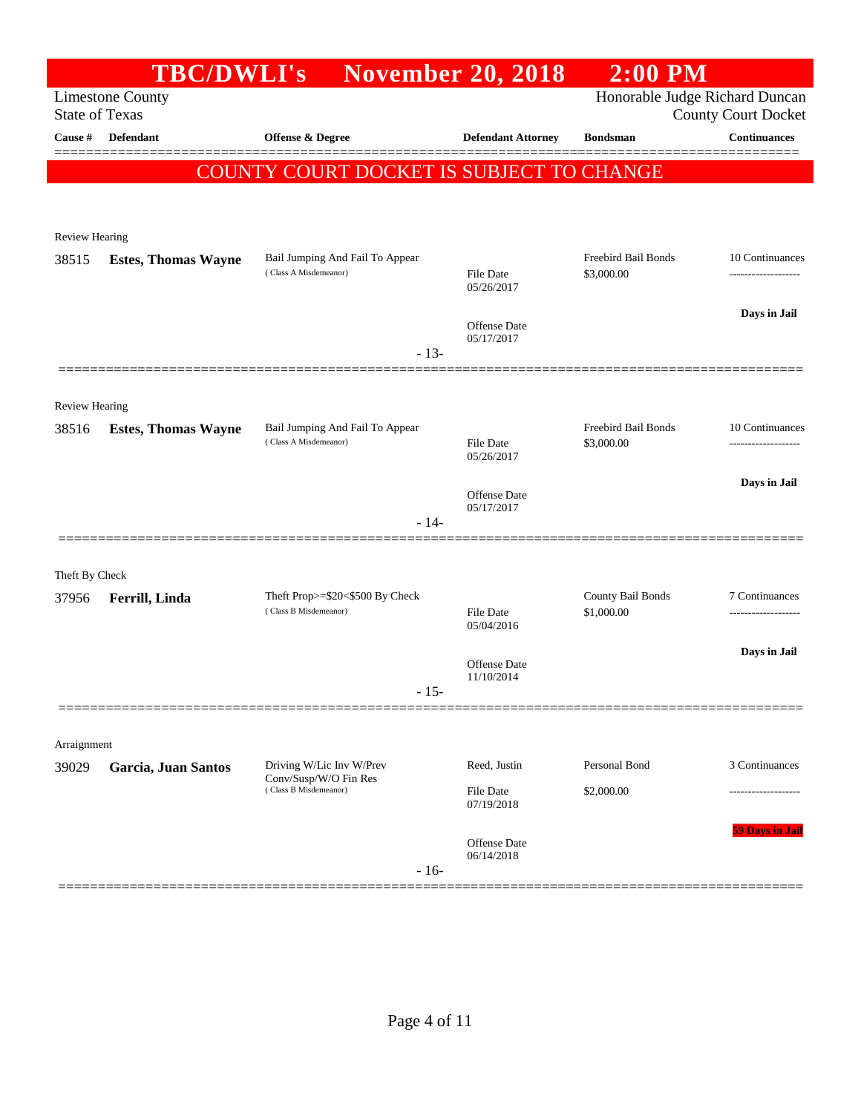|                       | <b>TBC/DWLI's</b>          |                                                   | <b>November 20, 2018</b>          | $2:00$ PM                      |                            |
|-----------------------|----------------------------|---------------------------------------------------|-----------------------------------|--------------------------------|----------------------------|
| <b>State of Texas</b> | <b>Limestone County</b>    |                                                   |                                   | Honorable Judge Richard Duncan | <b>County Court Docket</b> |
| Cause #               | <b>Defendant</b>           | Offense & Degree                                  | <b>Defendant Attorney</b>         | <b>Bondsman</b>                | <b>Continuances</b>        |
|                       |                            | COUNTY COURT DOCKET IS SUBJECT TO CHANGE          |                                   |                                |                            |
|                       |                            |                                                   |                                   |                                |                            |
| Review Hearing        |                            |                                                   |                                   |                                |                            |
| 38515                 | <b>Estes, Thomas Wayne</b> | Bail Jumping And Fail To Appear                   |                                   | Freebird Bail Bonds            | 10 Continuances            |
|                       |                            | (Class A Misdemeanor)                             | <b>File Date</b><br>05/26/2017    | \$3,000.00                     | -------------------        |
|                       |                            |                                                   |                                   |                                | Days in Jail               |
|                       |                            |                                                   | <b>Offense</b> Date<br>05/17/2017 |                                |                            |
|                       |                            | $-13-$                                            |                                   |                                |                            |
| <b>Review Hearing</b> |                            |                                                   |                                   |                                |                            |
| 38516                 | <b>Estes, Thomas Wayne</b> | Bail Jumping And Fail To Appear                   |                                   | Freebird Bail Bonds            | 10 Continuances            |
|                       |                            | (Class A Misdemeanor)                             | <b>File Date</b><br>05/26/2017    | \$3,000.00                     |                            |
|                       |                            |                                                   |                                   |                                | Days in Jail               |
|                       |                            | $-14-$                                            | <b>Offense</b> Date<br>05/17/2017 |                                |                            |
|                       |                            |                                                   |                                   |                                |                            |
| Theft By Check        |                            |                                                   |                                   |                                |                            |
| 37956                 | Ferrill, Linda             | Theft Prop>=\$20<\$500 By Check                   |                                   | County Bail Bonds              | 7 Continuances             |
|                       |                            | (Class B Misdemeanor)                             | <b>File Date</b><br>05/04/2016    | \$1,000.00                     |                            |
|                       |                            |                                                   | Offense Date                      |                                | Days in Jail               |
|                       |                            | $-15-$                                            | 11/10/2014                        |                                |                            |
|                       |                            |                                                   |                                   |                                |                            |
| Arraignment           |                            |                                                   |                                   |                                |                            |
| 39029                 | Garcia, Juan Santos        | Driving W/Lic Inv W/Prev<br>Conv/Susp/W/O Fin Res | Reed, Justin                      | Personal Bond                  | 3 Continuances             |
|                       |                            | (Class B Misdemeanor)                             | <b>File Date</b><br>07/19/2018    | \$2,000.00                     |                            |
|                       |                            |                                                   |                                   |                                | 59 Days in Jail            |
|                       |                            |                                                   | Offense Date<br>06/14/2018        |                                |                            |
|                       |                            | $-16-$                                            |                                   |                                |                            |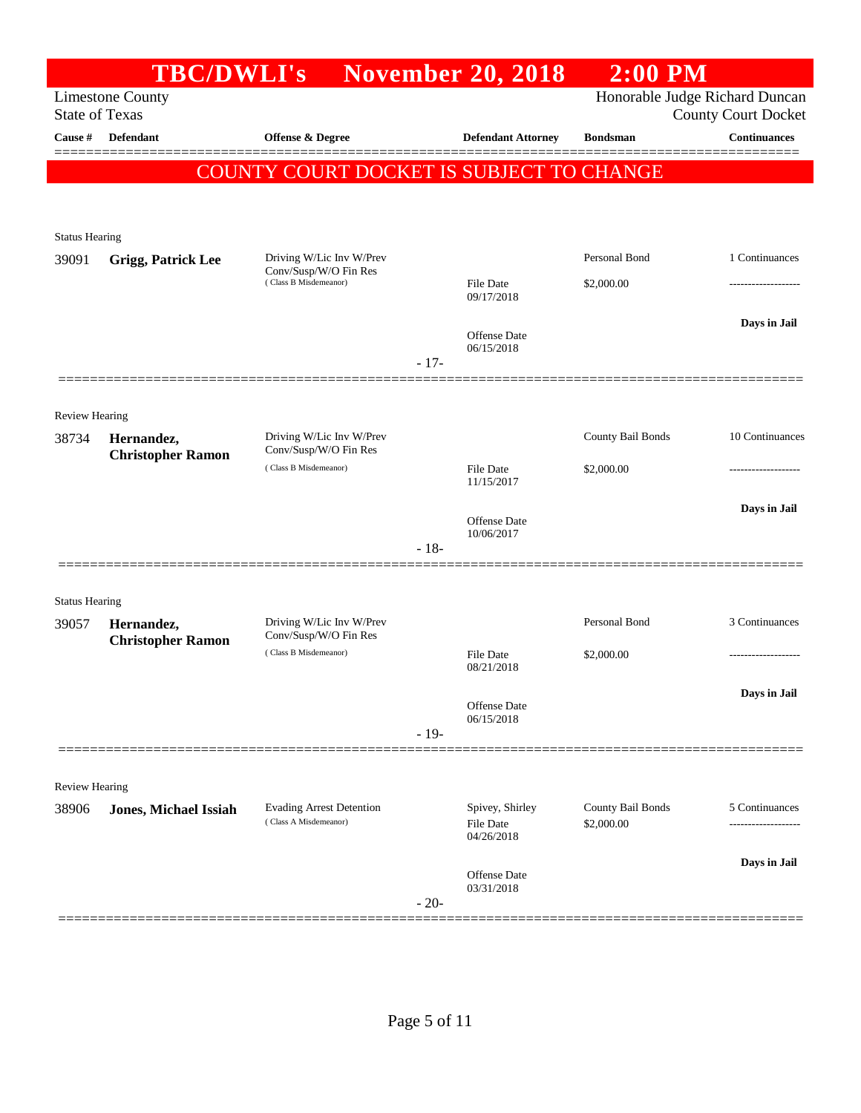| Honorable Judge Richard Duncan<br>Limestone County<br><b>State of Texas</b><br><b>County Court Docket</b><br><b>Continuances</b><br>Cause #<br><b>Defendant</b><br>Offense & Degree<br><b>Defendant Attorney</b><br><b>Bondsman</b><br>COUNTY COURT DOCKET IS SUBJECT TO CHANGE<br><b>Status Hearing</b><br>Personal Bond<br>1 Continuances<br>Driving W/Lic Inv W/Prev<br>39091<br><b>Grigg, Patrick Lee</b><br>Conv/Susp/W/O Fin Res<br>(Class B Misdemeanor)<br>File Date<br>\$2,000.00<br>09/17/2018<br>Days in Jail<br><b>Offense</b> Date<br>06/15/2018<br>$-17-$<br><b>Review Hearing</b><br>County Bail Bonds<br>10 Continuances<br>Driving W/Lic Inv W/Prev<br>38734<br>Hernandez,<br>Conv/Susp/W/O Fin Res<br><b>Christopher Ramon</b><br>(Class B Misdemeanor)<br><b>File Date</b><br>\$2,000.00<br>11/15/2017<br>Days in Jail<br><b>Offense</b> Date<br>10/06/2017<br>$-18-$<br><b>Status Hearing</b><br>Personal Bond<br>3 Continuances<br>Driving W/Lic Inv W/Prev<br>39057<br>Hernandez,<br>Conv/Susp/W/O Fin Res<br><b>Christopher Ramon</b><br>(Class B Misdemeanor)<br>\$2,000.00<br>File Date<br>08/21/2018<br>Days in Jail<br>Offense Date<br>06/15/2018<br>$-19-$<br>Review Hearing<br>Spivey, Shirley<br>County Bail Bonds<br><b>Evading Arrest Detention</b><br>5 Continuances<br>38906<br><b>Jones, Michael Issiah</b><br>(Class A Misdemeanor)<br>\$2,000.00<br><b>File Date</b><br>04/26/2018<br>Days in Jail<br>Offense Date<br>03/31/2018<br>$-20-$ | TBC/DWLI's |  | <b>November 20, 2018</b> | $2:00$ PM |  |
|---------------------------------------------------------------------------------------------------------------------------------------------------------------------------------------------------------------------------------------------------------------------------------------------------------------------------------------------------------------------------------------------------------------------------------------------------------------------------------------------------------------------------------------------------------------------------------------------------------------------------------------------------------------------------------------------------------------------------------------------------------------------------------------------------------------------------------------------------------------------------------------------------------------------------------------------------------------------------------------------------------------------------------------------------------------------------------------------------------------------------------------------------------------------------------------------------------------------------------------------------------------------------------------------------------------------------------------------------------------------------------------------------------------------------------------------------------------------------------|------------|--|--------------------------|-----------|--|
|                                                                                                                                                                                                                                                                                                                                                                                                                                                                                                                                                                                                                                                                                                                                                                                                                                                                                                                                                                                                                                                                                                                                                                                                                                                                                                                                                                                                                                                                                 |            |  |                          |           |  |
|                                                                                                                                                                                                                                                                                                                                                                                                                                                                                                                                                                                                                                                                                                                                                                                                                                                                                                                                                                                                                                                                                                                                                                                                                                                                                                                                                                                                                                                                                 |            |  |                          |           |  |
|                                                                                                                                                                                                                                                                                                                                                                                                                                                                                                                                                                                                                                                                                                                                                                                                                                                                                                                                                                                                                                                                                                                                                                                                                                                                                                                                                                                                                                                                                 |            |  |                          |           |  |
|                                                                                                                                                                                                                                                                                                                                                                                                                                                                                                                                                                                                                                                                                                                                                                                                                                                                                                                                                                                                                                                                                                                                                                                                                                                                                                                                                                                                                                                                                 |            |  |                          |           |  |
|                                                                                                                                                                                                                                                                                                                                                                                                                                                                                                                                                                                                                                                                                                                                                                                                                                                                                                                                                                                                                                                                                                                                                                                                                                                                                                                                                                                                                                                                                 |            |  |                          |           |  |
|                                                                                                                                                                                                                                                                                                                                                                                                                                                                                                                                                                                                                                                                                                                                                                                                                                                                                                                                                                                                                                                                                                                                                                                                                                                                                                                                                                                                                                                                                 |            |  |                          |           |  |
|                                                                                                                                                                                                                                                                                                                                                                                                                                                                                                                                                                                                                                                                                                                                                                                                                                                                                                                                                                                                                                                                                                                                                                                                                                                                                                                                                                                                                                                                                 |            |  |                          |           |  |
|                                                                                                                                                                                                                                                                                                                                                                                                                                                                                                                                                                                                                                                                                                                                                                                                                                                                                                                                                                                                                                                                                                                                                                                                                                                                                                                                                                                                                                                                                 |            |  |                          |           |  |
|                                                                                                                                                                                                                                                                                                                                                                                                                                                                                                                                                                                                                                                                                                                                                                                                                                                                                                                                                                                                                                                                                                                                                                                                                                                                                                                                                                                                                                                                                 |            |  |                          |           |  |
|                                                                                                                                                                                                                                                                                                                                                                                                                                                                                                                                                                                                                                                                                                                                                                                                                                                                                                                                                                                                                                                                                                                                                                                                                                                                                                                                                                                                                                                                                 |            |  |                          |           |  |
|                                                                                                                                                                                                                                                                                                                                                                                                                                                                                                                                                                                                                                                                                                                                                                                                                                                                                                                                                                                                                                                                                                                                                                                                                                                                                                                                                                                                                                                                                 |            |  |                          |           |  |
|                                                                                                                                                                                                                                                                                                                                                                                                                                                                                                                                                                                                                                                                                                                                                                                                                                                                                                                                                                                                                                                                                                                                                                                                                                                                                                                                                                                                                                                                                 |            |  |                          |           |  |
|                                                                                                                                                                                                                                                                                                                                                                                                                                                                                                                                                                                                                                                                                                                                                                                                                                                                                                                                                                                                                                                                                                                                                                                                                                                                                                                                                                                                                                                                                 |            |  |                          |           |  |
|                                                                                                                                                                                                                                                                                                                                                                                                                                                                                                                                                                                                                                                                                                                                                                                                                                                                                                                                                                                                                                                                                                                                                                                                                                                                                                                                                                                                                                                                                 |            |  |                          |           |  |
|                                                                                                                                                                                                                                                                                                                                                                                                                                                                                                                                                                                                                                                                                                                                                                                                                                                                                                                                                                                                                                                                                                                                                                                                                                                                                                                                                                                                                                                                                 |            |  |                          |           |  |
|                                                                                                                                                                                                                                                                                                                                                                                                                                                                                                                                                                                                                                                                                                                                                                                                                                                                                                                                                                                                                                                                                                                                                                                                                                                                                                                                                                                                                                                                                 |            |  |                          |           |  |
|                                                                                                                                                                                                                                                                                                                                                                                                                                                                                                                                                                                                                                                                                                                                                                                                                                                                                                                                                                                                                                                                                                                                                                                                                                                                                                                                                                                                                                                                                 |            |  |                          |           |  |
|                                                                                                                                                                                                                                                                                                                                                                                                                                                                                                                                                                                                                                                                                                                                                                                                                                                                                                                                                                                                                                                                                                                                                                                                                                                                                                                                                                                                                                                                                 |            |  |                          |           |  |
|                                                                                                                                                                                                                                                                                                                                                                                                                                                                                                                                                                                                                                                                                                                                                                                                                                                                                                                                                                                                                                                                                                                                                                                                                                                                                                                                                                                                                                                                                 |            |  |                          |           |  |
|                                                                                                                                                                                                                                                                                                                                                                                                                                                                                                                                                                                                                                                                                                                                                                                                                                                                                                                                                                                                                                                                                                                                                                                                                                                                                                                                                                                                                                                                                 |            |  |                          |           |  |
|                                                                                                                                                                                                                                                                                                                                                                                                                                                                                                                                                                                                                                                                                                                                                                                                                                                                                                                                                                                                                                                                                                                                                                                                                                                                                                                                                                                                                                                                                 |            |  |                          |           |  |
|                                                                                                                                                                                                                                                                                                                                                                                                                                                                                                                                                                                                                                                                                                                                                                                                                                                                                                                                                                                                                                                                                                                                                                                                                                                                                                                                                                                                                                                                                 |            |  |                          |           |  |
|                                                                                                                                                                                                                                                                                                                                                                                                                                                                                                                                                                                                                                                                                                                                                                                                                                                                                                                                                                                                                                                                                                                                                                                                                                                                                                                                                                                                                                                                                 |            |  |                          |           |  |
|                                                                                                                                                                                                                                                                                                                                                                                                                                                                                                                                                                                                                                                                                                                                                                                                                                                                                                                                                                                                                                                                                                                                                                                                                                                                                                                                                                                                                                                                                 |            |  |                          |           |  |
|                                                                                                                                                                                                                                                                                                                                                                                                                                                                                                                                                                                                                                                                                                                                                                                                                                                                                                                                                                                                                                                                                                                                                                                                                                                                                                                                                                                                                                                                                 |            |  |                          |           |  |
|                                                                                                                                                                                                                                                                                                                                                                                                                                                                                                                                                                                                                                                                                                                                                                                                                                                                                                                                                                                                                                                                                                                                                                                                                                                                                                                                                                                                                                                                                 |            |  |                          |           |  |
|                                                                                                                                                                                                                                                                                                                                                                                                                                                                                                                                                                                                                                                                                                                                                                                                                                                                                                                                                                                                                                                                                                                                                                                                                                                                                                                                                                                                                                                                                 |            |  |                          |           |  |
|                                                                                                                                                                                                                                                                                                                                                                                                                                                                                                                                                                                                                                                                                                                                                                                                                                                                                                                                                                                                                                                                                                                                                                                                                                                                                                                                                                                                                                                                                 |            |  |                          |           |  |
|                                                                                                                                                                                                                                                                                                                                                                                                                                                                                                                                                                                                                                                                                                                                                                                                                                                                                                                                                                                                                                                                                                                                                                                                                                                                                                                                                                                                                                                                                 |            |  |                          |           |  |
|                                                                                                                                                                                                                                                                                                                                                                                                                                                                                                                                                                                                                                                                                                                                                                                                                                                                                                                                                                                                                                                                                                                                                                                                                                                                                                                                                                                                                                                                                 |            |  |                          |           |  |
|                                                                                                                                                                                                                                                                                                                                                                                                                                                                                                                                                                                                                                                                                                                                                                                                                                                                                                                                                                                                                                                                                                                                                                                                                                                                                                                                                                                                                                                                                 |            |  |                          |           |  |
|                                                                                                                                                                                                                                                                                                                                                                                                                                                                                                                                                                                                                                                                                                                                                                                                                                                                                                                                                                                                                                                                                                                                                                                                                                                                                                                                                                                                                                                                                 |            |  |                          |           |  |
|                                                                                                                                                                                                                                                                                                                                                                                                                                                                                                                                                                                                                                                                                                                                                                                                                                                                                                                                                                                                                                                                                                                                                                                                                                                                                                                                                                                                                                                                                 |            |  |                          |           |  |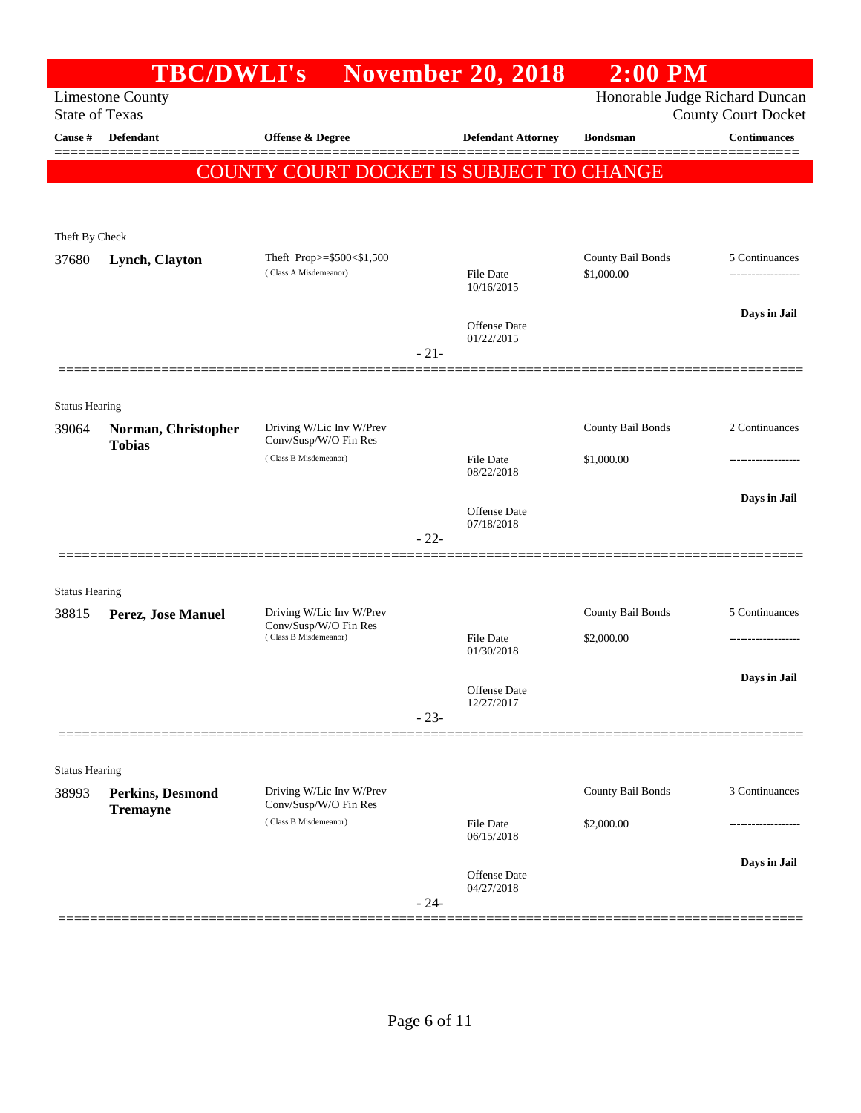|                       | <b>TBC/DWLI's</b>       |                                                   |        | <b>November 20, 2018</b>       | $2:00$ PM         |                                                              |
|-----------------------|-------------------------|---------------------------------------------------|--------|--------------------------------|-------------------|--------------------------------------------------------------|
| <b>State of Texas</b> | <b>Limestone County</b> |                                                   |        |                                |                   | Honorable Judge Richard Duncan<br><b>County Court Docket</b> |
| Cause #               | Defendant               | Offense & Degree                                  |        | <b>Defendant Attorney</b>      | <b>Bondsman</b>   | <b>Continuances</b>                                          |
|                       |                         | COUNTY COURT DOCKET IS SUBJECT TO CHANGE          |        |                                |                   |                                                              |
|                       |                         |                                                   |        |                                |                   |                                                              |
| Theft By Check        |                         |                                                   |        |                                |                   |                                                              |
| 37680                 | Lynch, Clayton          | Theft Prop>=\$500<\$1,500                         |        |                                | County Bail Bonds | 5 Continuances                                               |
|                       |                         | (Class A Misdemeanor)                             |        | <b>File Date</b><br>10/16/2015 | \$1,000.00        |                                                              |
|                       |                         |                                                   |        | <b>Offense Date</b>            |                   | Days in Jail                                                 |
|                       |                         |                                                   | $-21-$ | 01/22/2015                     |                   |                                                              |
|                       |                         |                                                   |        |                                |                   |                                                              |
| <b>Status Hearing</b> |                         |                                                   |        |                                |                   |                                                              |
| 39064                 | Norman, Christopher     | Driving W/Lic Inv W/Prev<br>Conv/Susp/W/O Fin Res |        |                                | County Bail Bonds | 2 Continuances                                               |
|                       | <b>Tobias</b>           | (Class B Misdemeanor)                             |        | <b>File Date</b>               | \$1,000.00        |                                                              |
|                       |                         |                                                   |        | 08/22/2018                     |                   |                                                              |
|                       |                         |                                                   |        | Offense Date                   |                   | Days in Jail                                                 |
|                       |                         |                                                   | $-22-$ | 07/18/2018                     |                   |                                                              |
|                       |                         |                                                   |        |                                |                   |                                                              |
| <b>Status Hearing</b> |                         |                                                   |        |                                |                   |                                                              |
| 38815                 | Perez, Jose Manuel      | Driving W/Lic Inv W/Prev<br>Conv/Susp/W/O Fin Res |        |                                | County Bail Bonds | 5 Continuances                                               |
|                       |                         | (Class B Misdemeanor)                             |        | <b>File Date</b><br>01/30/2018 | \$2,000.00        |                                                              |
|                       |                         |                                                   |        |                                |                   | Days in Jail                                                 |
|                       |                         |                                                   |        | Offense Date<br>12/27/2017     |                   |                                                              |
|                       |                         |                                                   | $-23-$ |                                |                   |                                                              |
| <b>Status Hearing</b> |                         |                                                   |        |                                |                   |                                                              |
| 38993                 | <b>Perkins, Desmond</b> | Driving W/Lic Inv W/Prev                          |        |                                | County Bail Bonds | 3 Continuances                                               |
|                       | <b>Tremayne</b>         | Conv/Susp/W/O Fin Res<br>(Class B Misdemeanor)    |        | <b>File Date</b>               | \$2,000.00        |                                                              |
|                       |                         |                                                   |        | 06/15/2018                     |                   |                                                              |
|                       |                         |                                                   |        | Offense Date                   |                   | Days in Jail                                                 |
|                       |                         |                                                   | $-24-$ | 04/27/2018                     |                   |                                                              |
|                       |                         |                                                   |        |                                |                   |                                                              |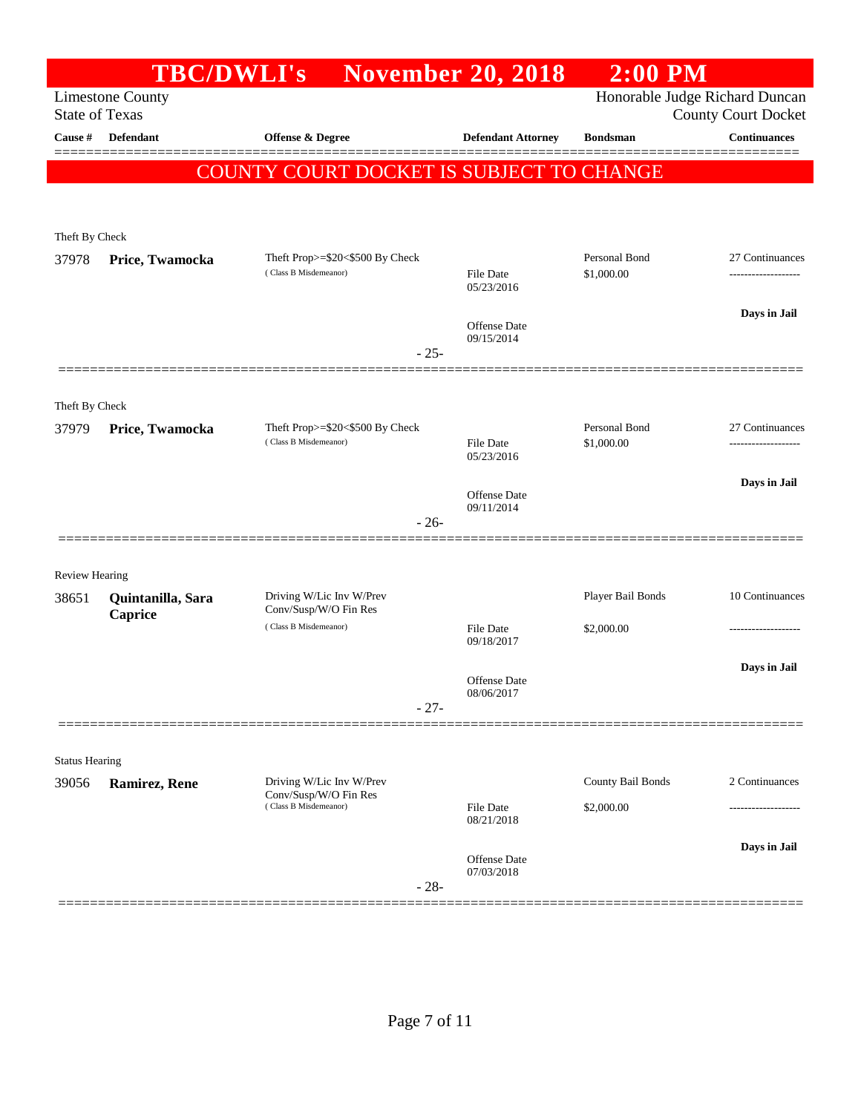|                                |                              | <b>TBC/DWLI's</b>                                        | <b>November 20, 2018</b>          | $2:00$ PM                   |                                                              |
|--------------------------------|------------------------------|----------------------------------------------------------|-----------------------------------|-----------------------------|--------------------------------------------------------------|
| <b>State of Texas</b>          | <b>Limestone County</b>      |                                                          |                                   |                             | Honorable Judge Richard Duncan<br><b>County Court Docket</b> |
| Cause #                        | <b>Defendant</b>             | <b>Offense &amp; Degree</b>                              | <b>Defendant Attorney</b>         | <b>Bondsman</b>             | <b>Continuances</b>                                          |
|                                |                              | COUNTY COURT DOCKET IS SUBJECT TO CHANGE                 |                                   |                             |                                                              |
| Theft By Check                 |                              |                                                          |                                   |                             |                                                              |
| 37978                          | Price, Twamocka              | Theft Prop>=\$20<\$500 By Check<br>(Class B Misdemeanor) | File Date<br>05/23/2016           | Personal Bond<br>\$1,000.00 | 27 Continuances<br>-------------------                       |
|                                |                              | $-25-$                                                   | <b>Offense Date</b><br>09/15/2014 |                             | Days in Jail                                                 |
| Theft By Check                 |                              |                                                          |                                   |                             |                                                              |
| 37979                          | Price, Twamocka              | Theft Prop>=\$20<\$500 By Check<br>(Class B Misdemeanor) | <b>File Date</b><br>05/23/2016    | Personal Bond<br>\$1,000.00 | 27 Continuances<br>-------------------                       |
|                                |                              | $-26-$                                                   | <b>Offense</b> Date<br>09/11/2014 |                             | Days in Jail                                                 |
|                                |                              |                                                          |                                   |                             |                                                              |
| <b>Review Hearing</b>          |                              |                                                          |                                   |                             |                                                              |
| 38651                          | Quintanilla, Sara<br>Caprice | Driving W/Lic Inv W/Prev<br>Conv/Susp/W/O Fin Res        |                                   | Player Bail Bonds           | 10 Continuances                                              |
|                                |                              | (Class B Misdemeanor)                                    | <b>File Date</b><br>09/18/2017    | \$2,000.00                  |                                                              |
|                                |                              | $-27-$                                                   | <b>Offense Date</b><br>08/06/2017 |                             | Days in Jail                                                 |
|                                |                              |                                                          |                                   |                             |                                                              |
| <b>Status Hearing</b><br>39056 | Ramirez, Rene                | Driving W/Lic Inv W/Prev                                 |                                   | County Bail Bonds           | 2 Continuances                                               |
|                                |                              | Conv/Susp/W/O Fin Res<br>(Class B Misdemeanor)           | File Date<br>08/21/2018           | \$2,000.00                  |                                                              |
|                                |                              | $-28-$                                                   | Offense Date<br>07/03/2018        |                             | Days in Jail                                                 |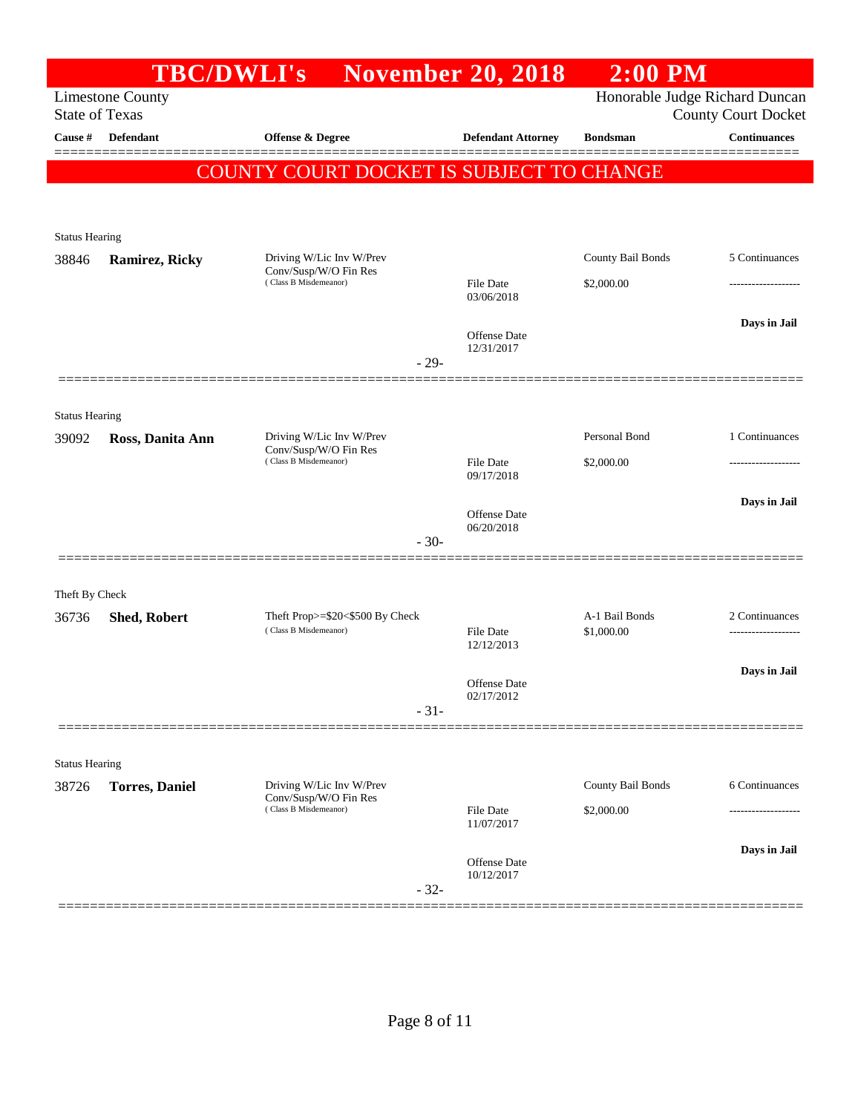|                                |                                                  | TBC/DWLI's November 20, 2018                                               |                                      | $2:00$ PM                       |                            |
|--------------------------------|--------------------------------------------------|----------------------------------------------------------------------------|--------------------------------------|---------------------------------|----------------------------|
|                                | <b>Limestone County</b><br><b>State of Texas</b> |                                                                            |                                      | Honorable Judge Richard Duncan  | <b>County Court Docket</b> |
| Cause #                        | Defendant                                        | <b>Offense &amp; Degree</b>                                                | <b>Defendant Attorney</b>            | <b>Bondsman</b>                 | <b>Continuances</b>        |
|                                |                                                  | COUNTY COURT DOCKET IS SUBJECT TO CHANGE                                   |                                      |                                 |                            |
| <b>Status Hearing</b>          |                                                  |                                                                            |                                      |                                 |                            |
| 38846                          | <b>Ramirez, Ricky</b>                            | Driving W/Lic Inv W/Prev<br>Conv/Susp/W/O Fin Res<br>(Class B Misdemeanor) | <b>File Date</b>                     | County Bail Bonds<br>\$2,000.00 | 5 Continuances             |
|                                |                                                  |                                                                            | 03/06/2018                           |                                 |                            |
|                                |                                                  |                                                                            | Offense Date<br>12/31/2017<br>$-29-$ |                                 | Days in Jail               |
|                                |                                                  |                                                                            |                                      |                                 |                            |
| <b>Status Hearing</b><br>39092 | Ross, Danita Ann                                 | Driving W/Lic Inv W/Prev                                                   |                                      | Personal Bond                   | 1 Continuances             |
|                                |                                                  | Conv/Susp/W/O Fin Res<br>(Class B Misdemeanor)                             | <b>File Date</b><br>09/17/2018       | \$2,000.00                      |                            |
|                                |                                                  |                                                                            | Offense Date                         |                                 | Days in Jail               |
|                                |                                                  |                                                                            | 06/20/2018<br>$-30-$                 |                                 |                            |
| Theft By Check                 |                                                  |                                                                            |                                      |                                 |                            |
| 36736                          | <b>Shed, Robert</b>                              | Theft Prop>=\$20<\$500 By Check<br>(Class B Misdemeanor)                   | <b>File Date</b><br>12/12/2013       | A-1 Bail Bonds<br>\$1,000.00    | 2 Continuances<br>         |
|                                |                                                  |                                                                            | Offense Date<br>02/17/2012           |                                 | Days in Jail               |
|                                |                                                  |                                                                            | $-31-$                               |                                 |                            |
| <b>Status Hearing</b>          |                                                  |                                                                            |                                      |                                 |                            |
| 38726                          | <b>Torres</b> , Daniel                           | Driving W/Lic Inv W/Prev<br>Conv/Susp/W/O Fin Res                          |                                      | County Bail Bonds               | 6 Continuances             |
|                                |                                                  | (Class B Misdemeanor)                                                      | <b>File Date</b><br>11/07/2017       | \$2,000.00                      |                            |
|                                |                                                  |                                                                            | Offense Date<br>10/12/2017           |                                 | Days in Jail               |
|                                |                                                  |                                                                            | $-32-$                               |                                 |                            |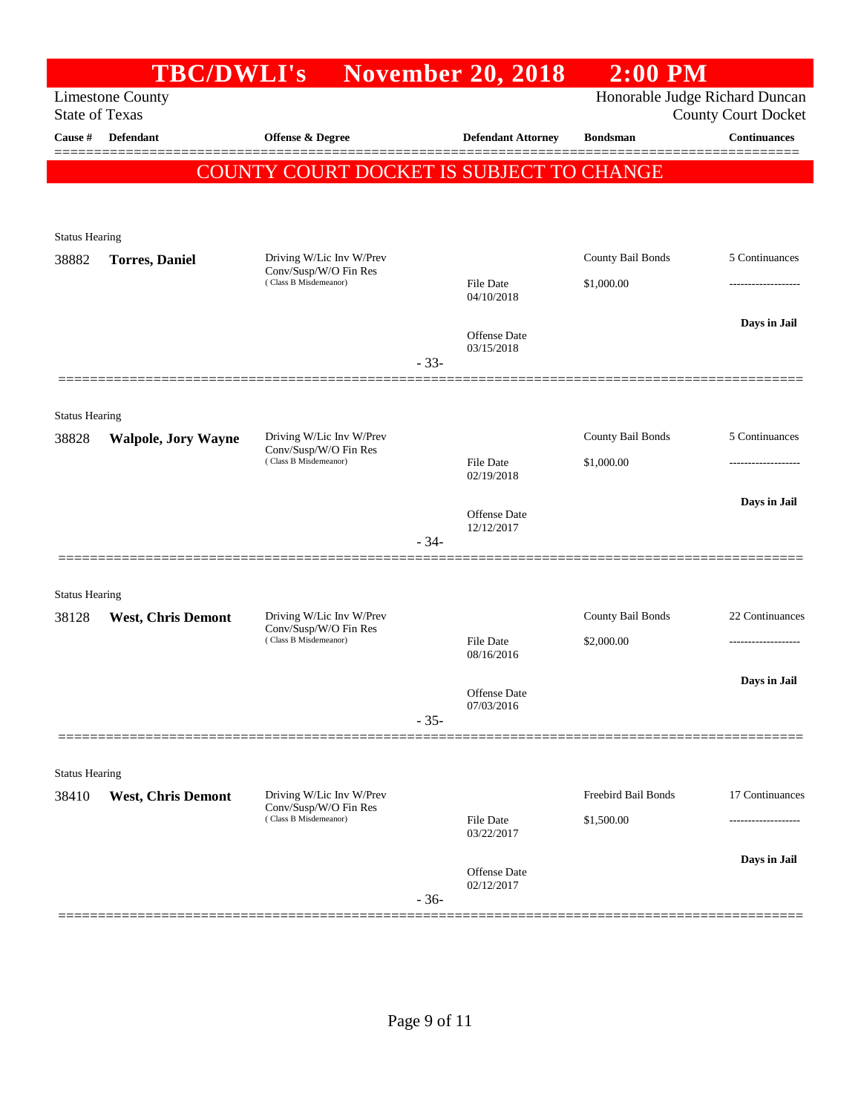|                            |                                                                                                  |                                                                                                  | $2:00$ PM                                                                              |                                                                                                                   |
|----------------------------|--------------------------------------------------------------------------------------------------|--------------------------------------------------------------------------------------------------|----------------------------------------------------------------------------------------|-------------------------------------------------------------------------------------------------------------------|
| <b>Limestone County</b>    |                                                                                                  |                                                                                                  |                                                                                        | <b>County Court Docket</b>                                                                                        |
| <b>Defendant</b>           | <b>Offense &amp; Degree</b>                                                                      | <b>Defendant Attorney</b>                                                                        | <b>Bondsman</b>                                                                        | <b>Continuances</b>                                                                                               |
|                            |                                                                                                  |                                                                                                  |                                                                                        |                                                                                                                   |
|                            |                                                                                                  |                                                                                                  |                                                                                        |                                                                                                                   |
|                            |                                                                                                  |                                                                                                  |                                                                                        |                                                                                                                   |
| <b>Torres, Daniel</b>      | Driving W/Lic Inv W/Prev                                                                         |                                                                                                  | County Bail Bonds                                                                      | 5 Continuances                                                                                                    |
|                            | (Class B Misdemeanor)                                                                            | <b>File Date</b>                                                                                 | \$1,000.00                                                                             |                                                                                                                   |
|                            |                                                                                                  |                                                                                                  |                                                                                        | Days in Jail                                                                                                      |
|                            |                                                                                                  | <b>Offense</b> Date<br>03/15/2018                                                                |                                                                                        |                                                                                                                   |
|                            |                                                                                                  |                                                                                                  |                                                                                        |                                                                                                                   |
|                            |                                                                                                  |                                                                                                  |                                                                                        |                                                                                                                   |
| <b>Walpole, Jory Wayne</b> | Driving W/Lic Inv W/Prev                                                                         |                                                                                                  | County Bail Bonds                                                                      | 5 Continuances                                                                                                    |
|                            | (Class B Misdemeanor)                                                                            | <b>File Date</b>                                                                                 | \$1,000.00                                                                             |                                                                                                                   |
|                            |                                                                                                  |                                                                                                  |                                                                                        | Days in Jail                                                                                                      |
|                            |                                                                                                  | Offense Date<br>12/12/2017                                                                       |                                                                                        |                                                                                                                   |
|                            |                                                                                                  |                                                                                                  |                                                                                        |                                                                                                                   |
|                            |                                                                                                  |                                                                                                  |                                                                                        |                                                                                                                   |
| <b>West, Chris Demont</b>  | Driving W/Lic Inv W/Prev                                                                         |                                                                                                  | County Bail Bonds                                                                      | 22 Continuances                                                                                                   |
|                            | (Class B Misdemeanor)                                                                            | <b>File Date</b><br>08/16/2016                                                                   | \$2,000.00                                                                             |                                                                                                                   |
|                            |                                                                                                  |                                                                                                  |                                                                                        | Days in Jail                                                                                                      |
|                            |                                                                                                  | 07/03/2016                                                                                       |                                                                                        |                                                                                                                   |
|                            |                                                                                                  |                                                                                                  |                                                                                        |                                                                                                                   |
| <b>Status Hearing</b>      |                                                                                                  |                                                                                                  |                                                                                        |                                                                                                                   |
| <b>West, Chris Demont</b>  | Driving W/Lic Inv W/Prev                                                                         |                                                                                                  | Freebird Bail Bonds                                                                    | 17 Continuances                                                                                                   |
|                            | (Class B Misdemeanor)                                                                            | File Date<br>03/22/2017                                                                          | \$1,500.00                                                                             |                                                                                                                   |
|                            |                                                                                                  |                                                                                                  |                                                                                        | Days in Jail                                                                                                      |
|                            |                                                                                                  | 02/12/2017                                                                                       |                                                                                        |                                                                                                                   |
|                            | <b>State of Texas</b><br><b>Status Hearing</b><br><b>Status Hearing</b><br><b>Status Hearing</b> | Conv/Susp/W/O Fin Res<br>Conv/Susp/W/O Fin Res<br>Conv/Susp/W/O Fin Res<br>Conv/Susp/W/O Fin Res | 04/10/2018<br>$-33-$<br>02/19/2018<br>$-34-$<br>Offense Date<br>$-35-$<br>Offense Date | <b>TBC/DWLI's</b> November 20, 2018<br>Honorable Judge Richard Duncan<br>COUNTY COURT DOCKET IS SUBJECT TO CHANGE |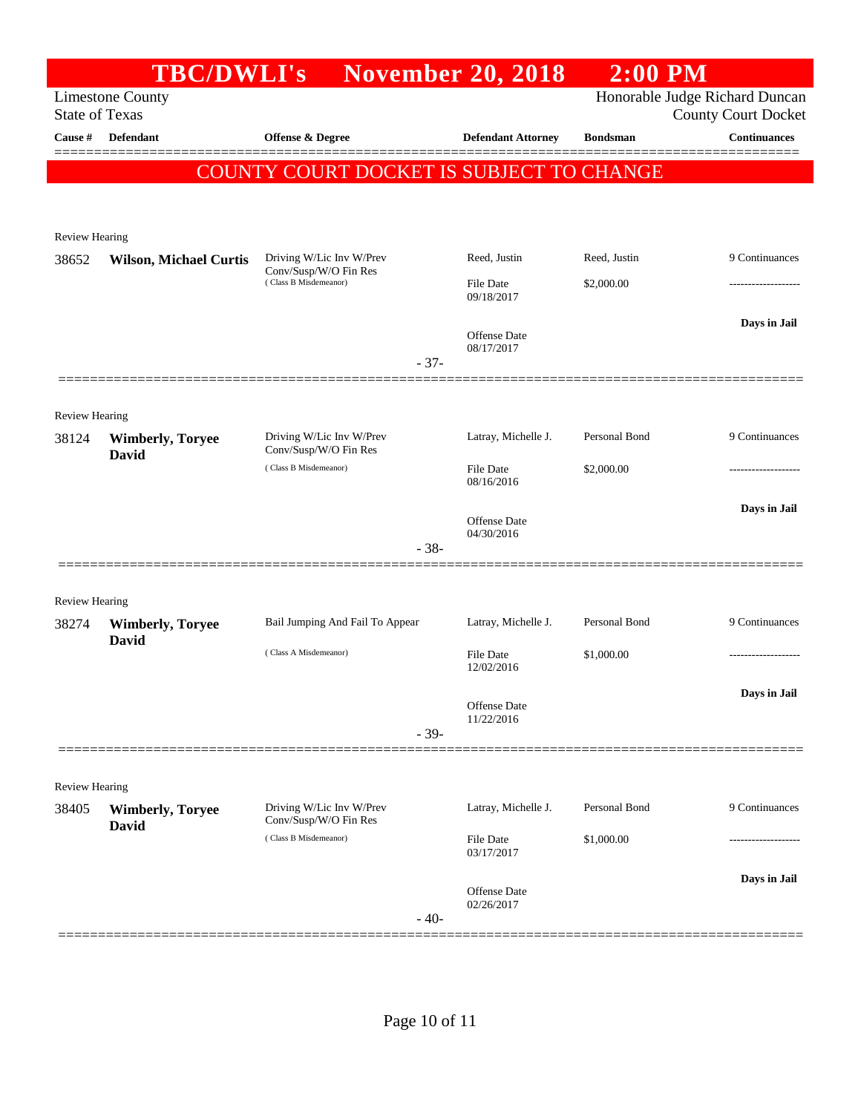|                       |                                  | <b>TBC/DWLI's</b> November 20, 2018               |        |                                   | $2:00$ PM       |                                                              |
|-----------------------|----------------------------------|---------------------------------------------------|--------|-----------------------------------|-----------------|--------------------------------------------------------------|
| <b>State of Texas</b> | <b>Limestone County</b>          |                                                   |        |                                   |                 | Honorable Judge Richard Duncan<br><b>County Court Docket</b> |
| Cause #               | Defendant                        | Offense & Degree                                  |        | <b>Defendant Attorney</b>         | <b>Bondsman</b> | <b>Continuances</b>                                          |
|                       |                                  | COUNTY COURT DOCKET IS SUBJECT TO CHANGE          |        |                                   |                 |                                                              |
|                       |                                  |                                                   |        |                                   |                 |                                                              |
| <b>Review Hearing</b> |                                  |                                                   |        |                                   |                 |                                                              |
| 38652                 | <b>Wilson, Michael Curtis</b>    | Driving W/Lic Inv W/Prev<br>Conv/Susp/W/O Fin Res |        | Reed, Justin                      | Reed, Justin    | 9 Continuances                                               |
|                       |                                  | (Class B Misdemeanor)                             |        | File Date<br>09/18/2017           | \$2,000.00      |                                                              |
|                       |                                  |                                                   | $-37-$ | <b>Offense</b> Date<br>08/17/2017 |                 | Days in Jail                                                 |
|                       |                                  |                                                   |        |                                   |                 |                                                              |
| Review Hearing        |                                  |                                                   |        |                                   |                 |                                                              |
| 38124                 | <b>Wimberly, Toryee</b>          | Driving W/Lic Inv W/Prev<br>Conv/Susp/W/O Fin Res |        | Latray, Michelle J.               | Personal Bond   | 9 Continuances                                               |
|                       | <b>David</b>                     | (Class B Misdemeanor)                             |        | File Date<br>08/16/2016           | \$2,000.00      |                                                              |
|                       |                                  |                                                   |        | <b>Offense</b> Date<br>04/30/2016 |                 | Days in Jail                                                 |
|                       |                                  |                                                   | $-38-$ |                                   |                 |                                                              |
| Review Hearing        |                                  |                                                   |        |                                   |                 |                                                              |
| 38274                 | <b>Wimberly, Toryee</b>          | Bail Jumping And Fail To Appear                   |        | Latray, Michelle J.               | Personal Bond   | 9 Continuances                                               |
|                       | David                            | (Class A Misdemeanor)                             |        | <b>File Date</b><br>12/02/2016    | \$1,000.00      |                                                              |
|                       |                                  |                                                   |        | Offense Date                      |                 | Days in Jail                                                 |
|                       |                                  |                                                   | $-39-$ | 11/22/2016                        |                 |                                                              |
|                       |                                  |                                                   |        |                                   |                 |                                                              |
| Review Hearing        |                                  |                                                   |        |                                   |                 |                                                              |
| 38405                 | <b>Wimberly, Toryee</b><br>David | Driving W/Lic Inv W/Prev<br>Conv/Susp/W/O Fin Res |        | Latray, Michelle J.               | Personal Bond   | 9 Continuances                                               |
|                       |                                  | (Class B Misdemeanor)                             |        | File Date<br>03/17/2017           | \$1,000.00      |                                                              |
|                       |                                  |                                                   |        | <b>Offense Date</b><br>02/26/2017 |                 | Days in Jail                                                 |
|                       |                                  |                                                   | $-40-$ |                                   |                 |                                                              |